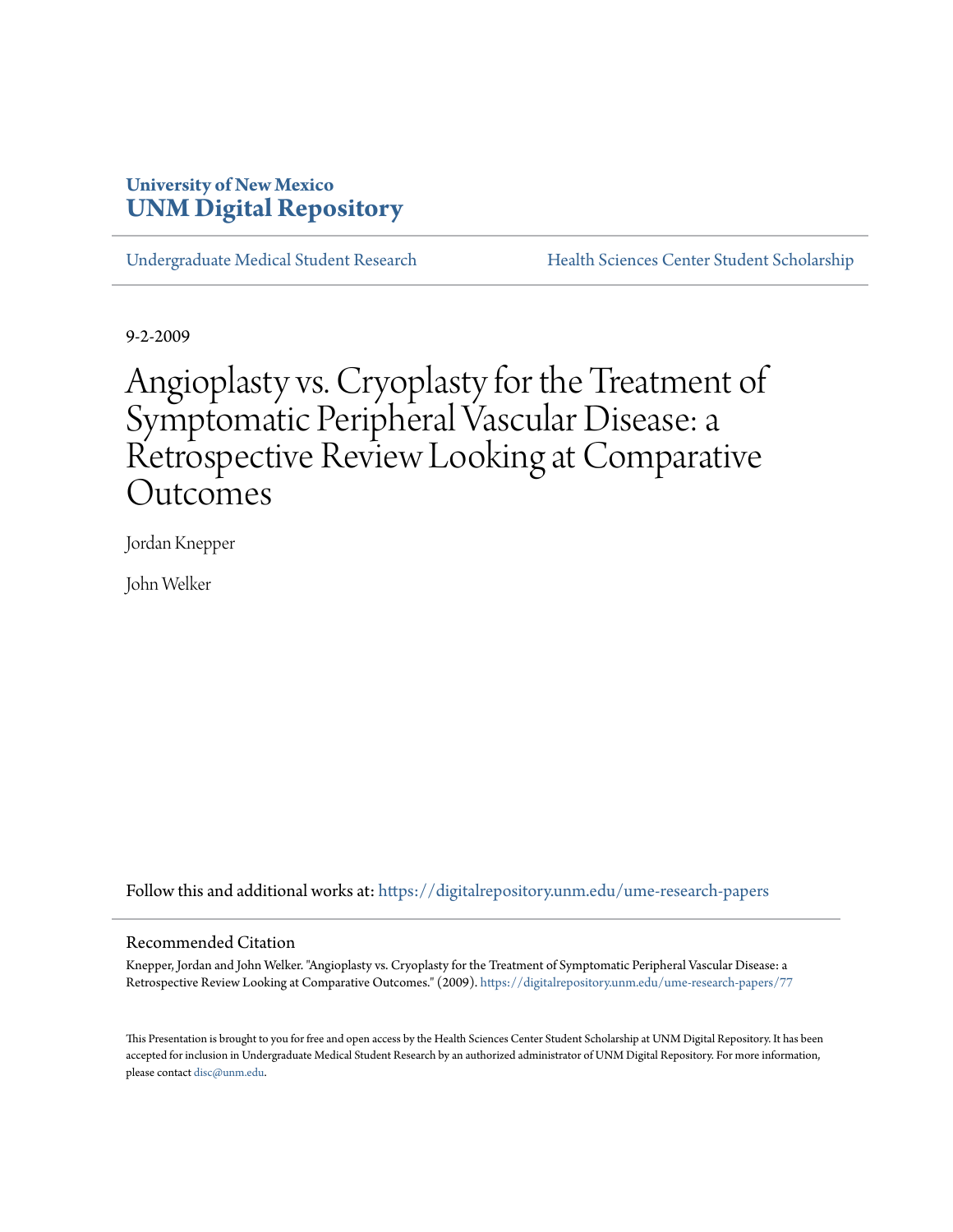# **University of New Mexico [UNM Digital Repository](https://digitalrepository.unm.edu?utm_source=digitalrepository.unm.edu%2Fume-research-papers%2F77&utm_medium=PDF&utm_campaign=PDFCoverPages)**

[Undergraduate Medical Student Research](https://digitalrepository.unm.edu/ume-research-papers?utm_source=digitalrepository.unm.edu%2Fume-research-papers%2F77&utm_medium=PDF&utm_campaign=PDFCoverPages) [Health Sciences Center Student Scholarship](https://digitalrepository.unm.edu/hsc-students?utm_source=digitalrepository.unm.edu%2Fume-research-papers%2F77&utm_medium=PDF&utm_campaign=PDFCoverPages)

9-2-2009

# Angioplasty vs. Cryoplasty for the Treatment of Symptomatic Peripheral Vascular Disease: a Retrospective Review Looking at Comparative Outcomes

Jordan Knepper

John Welker

Follow this and additional works at: [https://digitalrepository.unm.edu/ume-research-papers](https://digitalrepository.unm.edu/ume-research-papers?utm_source=digitalrepository.unm.edu%2Fume-research-papers%2F77&utm_medium=PDF&utm_campaign=PDFCoverPages)

#### Recommended Citation

Knepper, Jordan and John Welker. "Angioplasty vs. Cryoplasty for the Treatment of Symptomatic Peripheral Vascular Disease: a Retrospective Review Looking at Comparative Outcomes." (2009). [https://digitalrepository.unm.edu/ume-research-papers/77](https://digitalrepository.unm.edu/ume-research-papers/77?utm_source=digitalrepository.unm.edu%2Fume-research-papers%2F77&utm_medium=PDF&utm_campaign=PDFCoverPages)

This Presentation is brought to you for free and open access by the Health Sciences Center Student Scholarship at UNM Digital Repository. It has been accepted for inclusion in Undergraduate Medical Student Research by an authorized administrator of UNM Digital Repository. For more information, please contact [disc@unm.edu.](mailto:disc@unm.edu)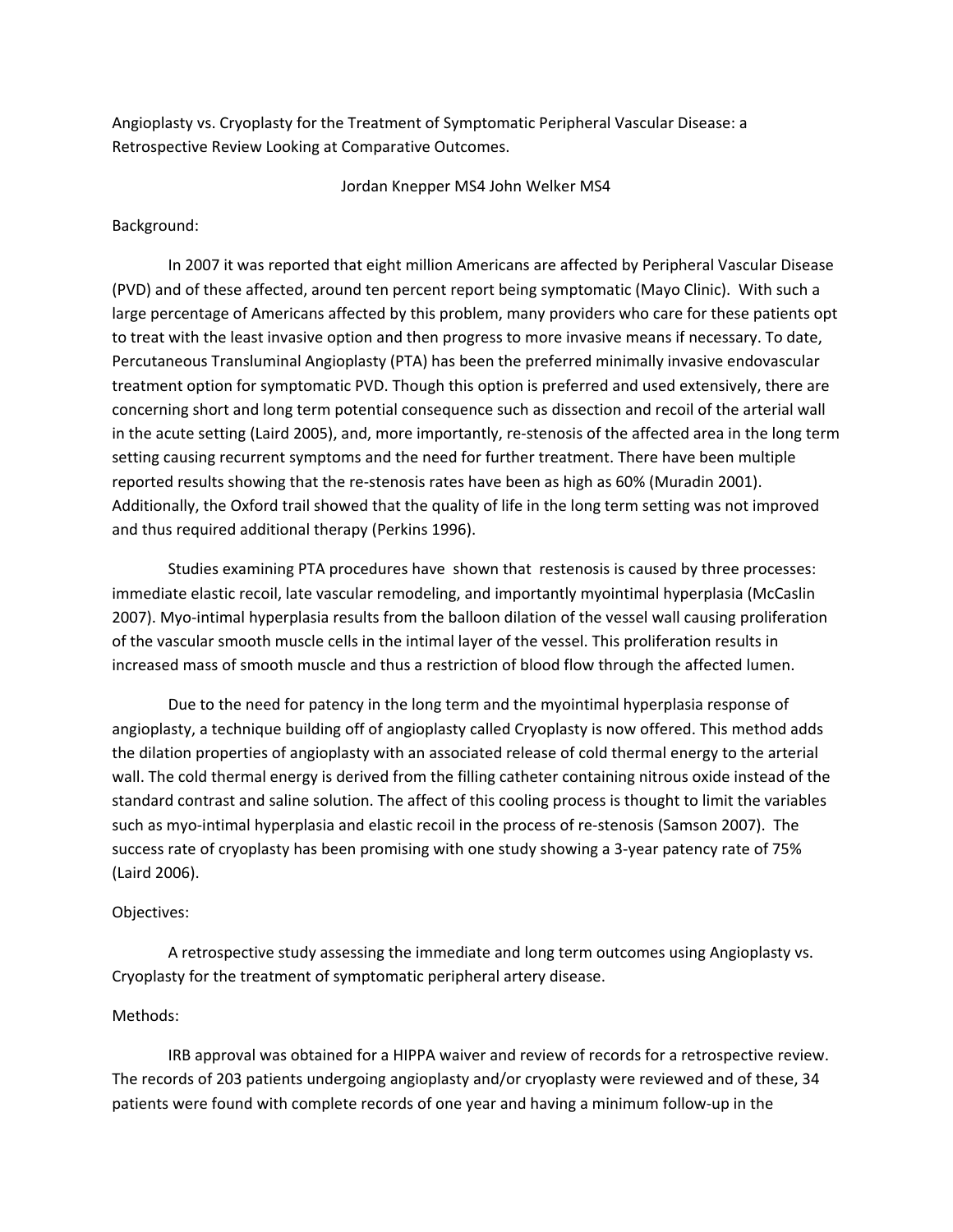Angioplasty vs. Cryoplasty for the Treatment of Symptomatic Peripheral Vascular Disease: a Retrospective Review Looking at Comparative Outcomes.

Jordan Knepper MS4 John Welker MS4

### Background:

In 2007 it was reported that eight million Americans are affected by Peripheral Vascular Disease (PVD) and of these affected, around ten percent report being symptomatic (Mayo Clinic). With such a large percentage of Americans affected by this problem, many providers who care for these patients opt to treat with the least invasive option and then progress to more invasive means if necessary. To date, Percutaneous Transluminal Angioplasty (PTA) has been the preferred minimally invasive endovascular treatment option for symptomatic PVD. Though this option is preferred and used extensively, there are concerning short and long term potential consequence such as dissection and recoil of the arterial wall in the acute setting (Laird 2005), and, more importantly, re-stenosis of the affected area in the long term setting causing recurrent symptoms and the need for further treatment. There have been multiple reported results showing that the re‐stenosis rates have been as high as 60% (Muradin 2001). Additionally, the Oxford trail showed that the quality of life in the long term setting was not improved and thus required additional therapy (Perkins 1996).

Studies examining PTA procedures have shown that restenosis is caused by three processes: immediate elastic recoil, late vascular remodeling, and importantly myointimal hyperplasia (McCaslin 2007). Myo-intimal hyperplasia results from the balloon dilation of the vessel wall causing proliferation of the vascular smooth muscle cells in the intimal layer of the vessel. This proliferation results in increased mass of smooth muscle and thus a restriction of blood flow through the affected lumen.

Due to the need for patency in the long term and the myointimal hyperplasia response of angioplasty, a technique building off of angioplasty called Cryoplasty is now offered. This method adds the dilation properties of angioplasty with an associated release of cold thermal energy to the arterial wall. The cold thermal energy is derived from the filling catheter containing nitrous oxide instead of the standard contrast and saline solution. The affect of this cooling process is thought to limit the variables such as myo‐intimal hyperplasia and elastic recoil in the process of re‐stenosis (Samson 2007). The success rate of cryoplasty has been promising with one study showing a 3‐year patency rate of 75% (Laird 2006).

# Objectives:

A retrospective study assessing the immediate and long term outcomes using Angioplasty vs. Cryoplasty for the treatment of symptomatic peripheral artery disease.

#### Methods:

IRB approval was obtained for a HIPPA waiver and review of records for a retrospective review. The records of 203 patients undergoing angioplasty and/or cryoplasty were reviewed and of these, 34 patients were found with complete records of one year and having a minimum follow‐up in the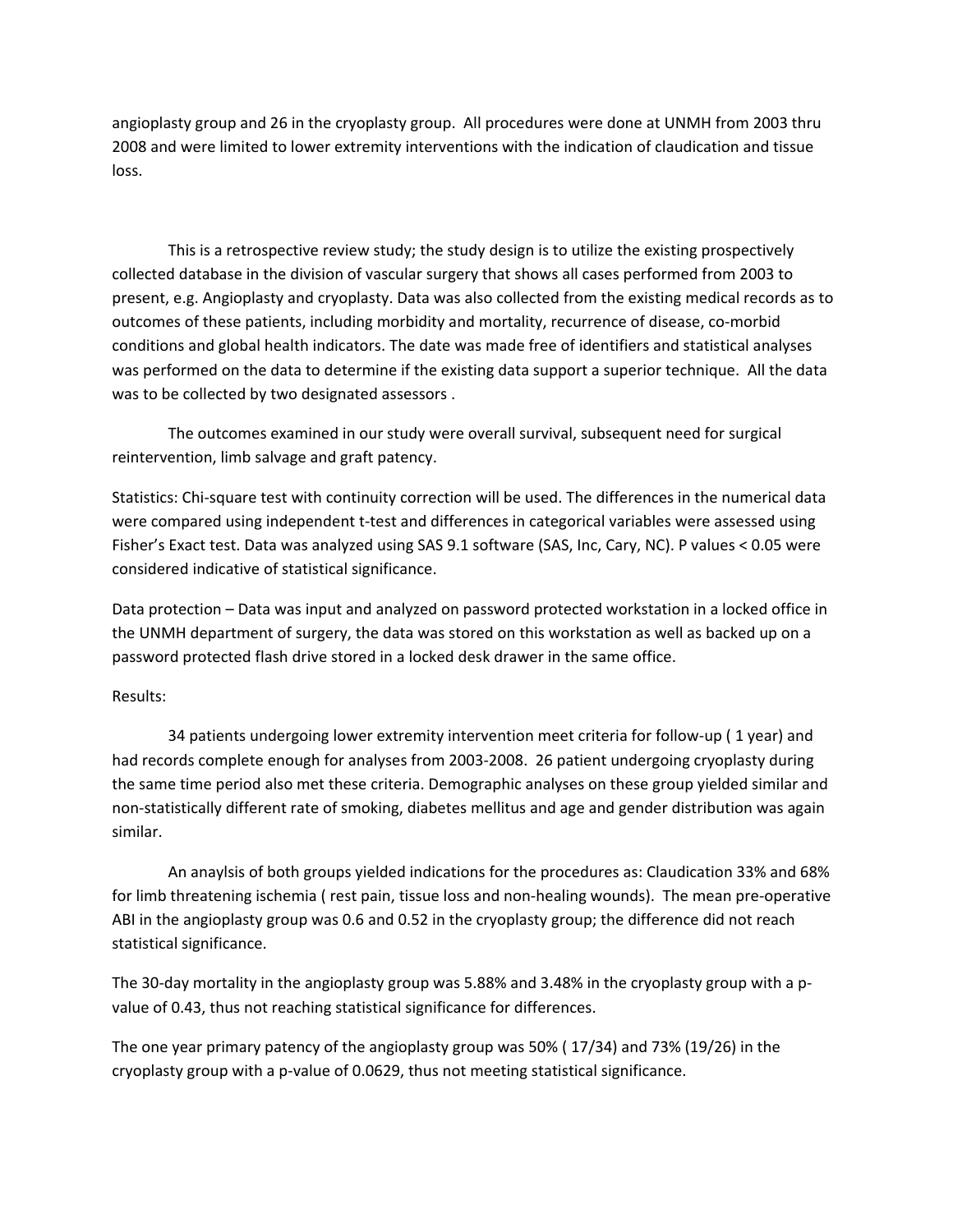angioplasty group and 26 in the cryoplasty group. All procedures were done at UNMH from 2003 thru 2008 and were limited to lower extremity interventions with the indication of claudication and tissue loss.

This is a retrospective review study; the study design is to utilize the existing prospectively collected database in the division of vascular surgery that shows all cases performed from 2003 to present, e.g. Angioplasty and cryoplasty. Data was also collected from the existing medical records as to outcomes of these patients, including morbidity and mortality, recurrence of disease, co‐morbid conditions and global health indicators. The date was made free of identifiers and statistical analyses was performed on the data to determine if the existing data support a superior technique. All the data was to be collected by two designated assessors .

The outcomes examined in our study were overall survival, subsequent need for surgical reintervention, limb salvage and graft patency.

Statistics: Chi‐square test with continuity correction will be used. The differences in the numerical data were compared using independent t-test and differences in categorical variables were assessed using Fisher's Exact test. Data was analyzed using SAS 9.1 software (SAS, Inc, Cary, NC). P values < 0.05 were considered indicative of statistical significance.

Data protection – Data was input and analyzed on password protected workstation in a locked office in the UNMH department of surgery, the data was stored on this workstation as well as backed up on a password protected flash drive stored in a locked desk drawer in the same office.

# Results:

34 patients undergoing lower extremity intervention meet criteria for follow‐up ( 1 year) and had records complete enough for analyses from 2003‐2008. 26 patient undergoing cryoplasty during the same time period also met these criteria. Demographic analyses on these group yielded similar and non‐statistically different rate of smoking, diabetes mellitus and age and gender distribution was again similar.

An anaylsis of both groups yielded indications for the procedures as: Claudication 33% and 68% for limb threatening ischemia ( rest pain, tissue loss and non-healing wounds). The mean pre-operative ABI in the angioplasty group was 0.6 and 0.52 in the cryoplasty group; the difference did not reach statistical significance.

The 30-day mortality in the angioplasty group was 5.88% and 3.48% in the cryoplasty group with a pvalue of 0.43, thus not reaching statistical significance for differences.

The one year primary patency of the angioplasty group was 50% ( 17/34) and 73% (19/26) in the cryoplasty group with a p‐value of 0.0629, thus not meeting statistical significance.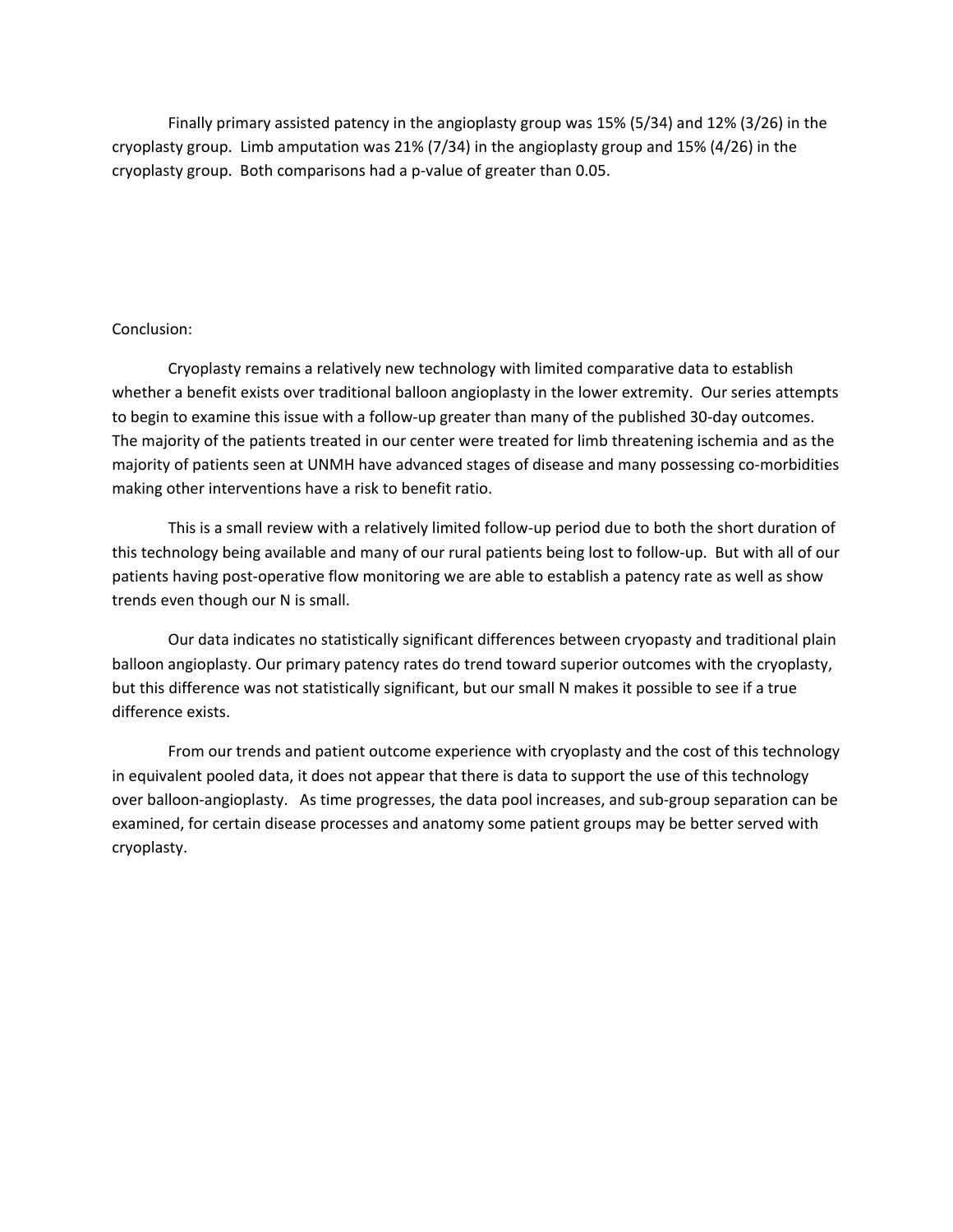Finally primary assisted patency in the angioplasty group was 15% (5/34) and 12% (3/26) in the cryoplasty group. Limb amputation was 21% (7/34) in the angioplasty group and 15% (4/26) in the cryoplasty group. Both comparisons had a p‐value of greater than 0.05.

# Conclusion:

Cryoplasty remains a relatively new technology with limited comparative data to establish whether a benefit exists over traditional balloon angioplasty in the lower extremity. Our series attempts to begin to examine this issue with a follow‐up greater than many of the published 30‐day outcomes. The majority of the patients treated in our center were treated for limb threatening ischemia and as the majority of patients seen at UNMH have advanced stages of disease and many possessing co-morbidities making other interventions have a risk to benefit ratio.

This is a small review with a relatively limited follow‐up period due to both the short duration of this technology being available and many of our rural patients being lost to follow‐up. But with all of our patients having post‐operative flow monitoring we are able to establish a patency rate as well as show trends even though our N is small.

Our data indicates no statistically significant differences between cryopasty and traditional plain balloon angioplasty. Our primary patency rates do trend toward superior outcomes with the cryoplasty, but this difference was not statistically significant, but our small N makes it possible to see if a true difference exists.

From our trends and patient outcome experience with cryoplasty and the cost of this technology in equivalent pooled data, it does not appear that there is data to support the use of this technology over balloon‐angioplasty. As time progresses, the data pool increases, and sub‐group separation can be examined, for certain disease processes and anatomy some patient groups may be better served with cryoplasty.